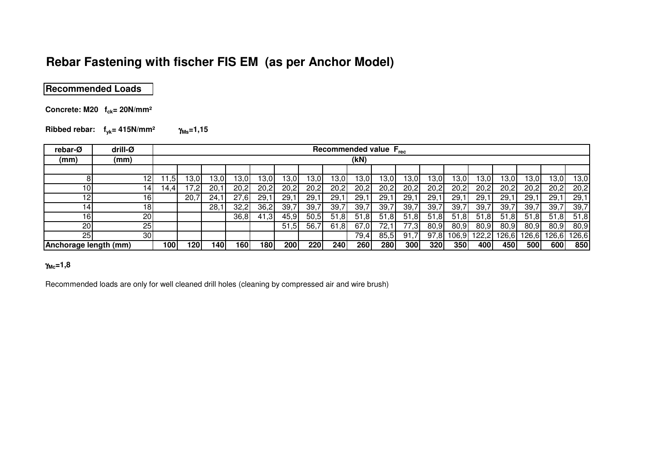# **Rebar Fastening with fischer FIS EM (as per Anchor Model)**

## **Recommended Loads**

**Concrete: M20 fck= 20N/mm²**

**Ribbed rebar: fyk= 415N/mm²**<sup>γ</sup>**Ms=1,15**

| rebar-Ø               | drill-Ø         |      | Recommended value F <sub>rec</sub> |       |      |      |      |       |      |       |          |          |             |      |            |       |       |          |       |
|-----------------------|-----------------|------|------------------------------------|-------|------|------|------|-------|------|-------|----------|----------|-------------|------|------------|-------|-------|----------|-------|
| (mm)                  | (mm)            |      |                                    |       |      |      |      |       |      | (kN)  |          |          |             |      |            |       |       |          |       |
|                       |                 |      |                                    |       |      |      |      |       |      |       |          |          |             |      |            |       |       |          |       |
| 8                     | 12              | .5   | 3.0                                | 13,01 | 3.0  | 3,0  | 3,0  | 13,01 | 3,0  | 13,01 | 13,01    | ا3,0     | 13,01       | 3,0  | 3,0        | I3,0I | 13,01 | 13,0     | 13,0  |
| 10                    | 14              | 14.4 | 7,2                                | 20,1  | 20.2 | 20,2 | 20,2 | 20,2  | 20,2 | 20,2  | 20,2     | 20,2     | 20,2        | 20,2 | 20,2       | 20,2  | 20,2  | 20,2     | 20,2  |
| 12                    | 16 <sub>1</sub> |      | 20.7                               | 24.1  | 27,6 | 29,1 | 29,1 | 29.   | 29,  | 29.   | 29,1     | 29,1     | 29,1        | 29,1 | 29,1       | 29.   | 29,1  | 29,1     | 29,1  |
| 14.                   | 18              |      |                                    | 28.7  | 32,2 | 36,2 | 39,7 | 39,7  | 39,7 | 39.   | 39,7     | 39,7     | 39,7        | 39,7 | 39,7       | 39,7  | 39,7  | 39,7     | 39,7  |
| 161                   | 20 <sub>l</sub> |      |                                    |       | 36,8 | 41,3 | 45,9 | 50,5  | 51,8 | 51.8I | ,8<br>51 | 51<br>.8 | 51,8        | 51,8 | -51<br>.81 | 51,8  | 51,8  | .8<br>51 | 51,8  |
| 20                    | 25              |      |                                    |       |      |      | 51,5 | 56,   | 61,8 | 67,0  | 72,1     | 77,3     | 80,9        | 80,9 | 80,9       | 80,9  | 80,9  | 80,9     | 80,9  |
| 25 <sub>l</sub>       | 30              |      |                                    |       |      |      |      |       |      | 79,4  | 85,5     | 91       | 97.8        | 06.9 | 22,2       | 26,6  | 126.6 | 126,6    | 126,6 |
| Anchorage length (mm) |                 | 100  | 120                                | 140I  | 160  | 180  | 200  | 220   | 240  | 260   | 280      | 300      | <b>3201</b> | 350  | 400        | 450   | 500   | 600      | 850   |

### γ**Mc=1,8**

Recommended loads are only for well cleaned drill holes (cleaning by compressed air and wire brush)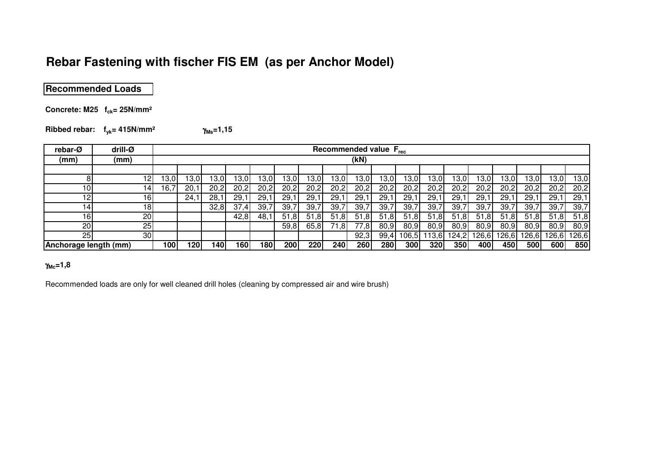# **Rebar Fastening with fischer FIS EM (as per Anchor Model)**

**Recommended Loads**

**Concrete: M25 fck= 25N/mm²**

**Ribbed rebar: fyk= 415N/mm²** $γ_{Ms} = 1,15$ 

| rebar-Ø               | drill-Ø | Recommended value F <sub>rec</sub> |      |       |       |      |       |          |          |       |            |      |       |       |          |       |       |          |       |
|-----------------------|---------|------------------------------------|------|-------|-------|------|-------|----------|----------|-------|------------|------|-------|-------|----------|-------|-------|----------|-------|
| (mm)                  | (mm)    |                                    |      |       |       |      |       |          |          | (kN)  |            |      |       |       |          |       |       |          |       |
|                       |         |                                    |      |       |       |      |       |          |          |       |            |      |       |       |          |       |       |          |       |
|                       | 12      | .3,01                              | 3,0  | 13.OI | 13,0. | 13,0 | 13,0  | 13,0.    | 3,0      | 13,0  | 3,0        | 3,0  | 13,01 | 13,01 | 3,0      | 3,0   | 13,0  | 13,0     | 13,0  |
| 10 <sub>l</sub>       | 14      | .6,7                               | 20,1 | 20,2  | 20,2  | 20,2 | 20,2  | 20.2     | 20,2     | 20,2  | 20,2       | 20,2 | 20,2  | 20,2  | 20,2     | 20,2  | 20,2  | 20,2     | 20,2  |
| 12I                   | 16      |                                    | 24,1 | 28,1  | 29.   | 29,1 | 29,1  | 29,      | 29,1     | 29,   | 29,1       | 29,1 | 29,1  | 29,1  | 29,1     | 29.   | 29,1  | 29,1     | 29,1  |
| $\overline{4}$        | 18      |                                    |      | 32,8  | 37,4  | 39,7 | 39,7  | 39,      | 39,7     | 39.   | 39,7       | 39,7 | 39,7  | 39,7  | 39,7     | 39,7  | 39,7  | 39,7     | 39,7  |
| 16 <sub>1</sub>       | 20      |                                    |      |       | 42,8  | 48,1 | 51,81 | 51<br>.8 | .8<br>51 | 51.8I | 51,8       | 51,8 | 51,8  | 51,8  | 51<br>.8 | 51,8  | 51,8  | 51<br>.8 | 51,8  |
| 20                    | 25      |                                    |      |       |       |      | 59,8  | 65,8     | .8       | 77,8  | 80.9       | 80.9 | 80,9  | 80,9  | 80,9     | 80,9  | 80,9  | 80,9     | 80,9  |
| 25 <sub>l</sub>       | 30      |                                    |      |       |       |      |       |          |          | 92,3  | 99,4       | 06,5 | 13.6  | 24,2  | 126,61   | 126.6 | 126.6 | 126,6    | 126,6 |
| Anchorage length (mm) |         | 100                                | 120  | 140l  | 160   | 180  | 200   | 220      | 240      | 260   | <b>280</b> | 300  | 320   | 350   | 400      | 450   | 500   | 600      | 850   |

### γ**Mc=1,8**

Recommended loads are only for well cleaned drill holes (cleaning by compressed air and wire brush)